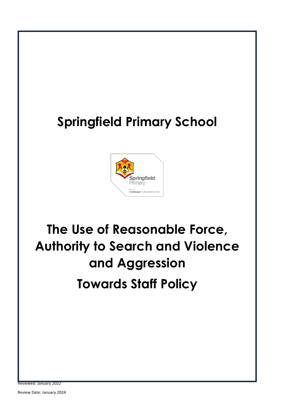# **Springfield Primary School**



# **The Use of Reasonable Force, Authority to Search and Violence and Aggression Towards Staff Policy**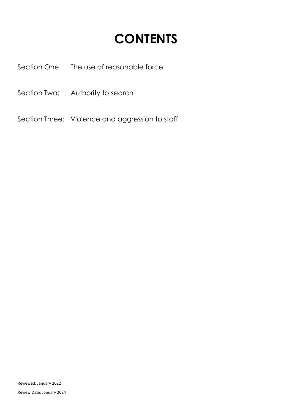# **CONTENTS**

Section One: The use of reasonable force

Section Two: Authority to search

Section Three: Violence and aggression to staff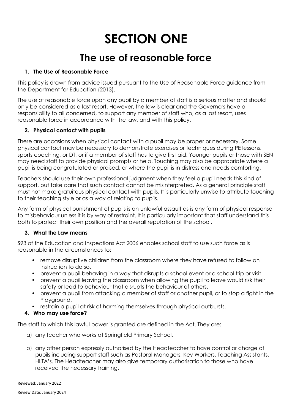# **SECTION ONE**

# **The use of reasonable force**

### **1. The Use of Reasonable Force**

This policy is drawn from advice issued pursuant to the Use of Reasonable Force guidance from the Department for Education (2013).

The use of reasonable force upon any pupil by a member of staff is a serious matter and should only be considered as a last resort. However, the law is clear and the Governors have a responsibility to all concerned, to support any member of staff who, as a last resort, uses reasonable force in accordance with the law, and with this policy.

#### **2. Physical contact with pupils**

There are occasions when physical contact with a pupil may be proper or necessary. Some physical contact may be necessary to demonstrate exercises or techniques during PE lessons, sports coaching, or DT, or if a member of staff has to give first aid. Younger pupils or those with SEN may need staff to provide physical prompts or help. Touching may also be appropriate where a pupil is being congratulated or praised, or where the pupil is in distress and needs comforting.

Teachers should use their own professional judgment when they feel a pupil needs this kind of support, but take care that such contact cannot be misinterpreted. As a general principle staff must not make gratuitous physical contact with pupils. It is particularly unwise to attribute touching to their teaching style or as a way of relating to pupils.

Any form of physical punishment of pupils is an unlawful assault as is any form of physical response to misbehaviour unless it is by way of restraint. It is particularly important that staff understand this both to protect their own position and the overall reputation of the school.

# **3. What the Law means**

S93 of the Education and Inspections Act 2006 enables school staff to use such force as is reasonable in the circumstances to:

- remove disruptive children from the classroom where they have refused to follow an instruction to do so.
- prevent a pupil behaving in a way that disrupts a school event or a school trip or visit.
- prevent a pupil leaving the classroom when allowing the pupil to leave would risk their safety or lead to behaviour that disrupts the behaviour of others.
- prevent a pupil from attacking a member of staff or another pupil, or to stop a fight in the Playground.
- restrain a pupil at risk of harming themselves through physical outbursts.

# **4. Who may use force?**

The staff to which this lawful power is granted are defined in the Act. They are:

- a) any teacher who works at Springfield Primary School,
- b) any other person expressly authorised by the Headteacher to have control or charge of pupils including support staff such as Pastoral Managers, Key Workers, Teaching Assistants, HLTA's. The Headteacher may also give temporary authorisation to those who have received the necessary training.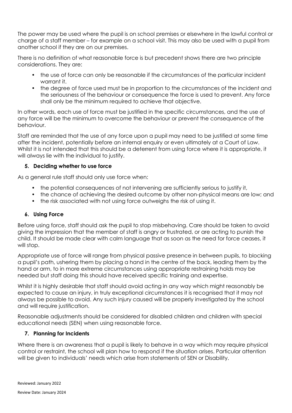The power may be used where the pupil is on school premises or elsewhere in the lawful control or charge of a staff member – for example on a school visit. This may also be used with a pupil from another school if they are on our premises.

There is no definition of what reasonable force is but precedent shows there are two principle considerations. They are:

- the use of force can only be reasonable if the circumstances of the particular incident warrant it.
- the degree of force used must be in proportion to the circumstances of the incident and the seriousness of the behaviour or consequence the force is used to prevent. Any force shall only be the minimum required to achieve that objective.

In other words, each use of force must be justified in the specific circumstances, and the use of any force will be the minimum to overcome the behaviour or prevent the consequence of the behaviour.

Staff are reminded that the use of any force upon a pupil may need to be justified at some time after the incident, potentially before an internal enquiry or even ultimately at a Court of Law. Whilst it is not intended that this should be a deterrent from using force where it is appropriate, it will always lie with the individual to justify.

#### **5. Deciding whether to use force**

As a general rule staff should only use force when:

- the potential consequences of not intervening are sufficiently serious to justify it,
- the chance of achieving the desired outcome by other non-physical means are low; and
- the risk associated with not using force outweighs the risk of using it.

#### **6. Using Force**

Before using force, staff should ask the pupil to stop misbehaving. Care should be taken to avoid giving the impression that the member of staff is angry or frustrated, or are acting to punish the child. It should be made clear with calm language that as soon as the need for force ceases, it will stop.

Appropriate use of force will range from physical passive presence in between pupils, to blocking a pupil's path, ushering them by placing a hand in the centre of the back, leading them by the hand or arm, to in more extreme circumstances using appropriate restraining holds may be needed but staff doing this should have received specific training and expertise.

Whilst it is highly desirable that staff should avoid acting in any way which might reasonably be expected to cause an injury, in truly exceptional circumstances it is recognised that it may not always be possible to avoid. Any such injury caused will be properly investigated by the school and will require justification.

Reasonable adjustments should be considered for disabled children and children with special educational needs (SEN) when using reasonable force.

#### **7. Planning for Incidents**

Where there is an awareness that a pupil is likely to behave in a way which may require physical control or restraint, the school will plan how to respond if the situation arises. Particular attention will be given to individuals' needs which arise from statements of SEN or Disability.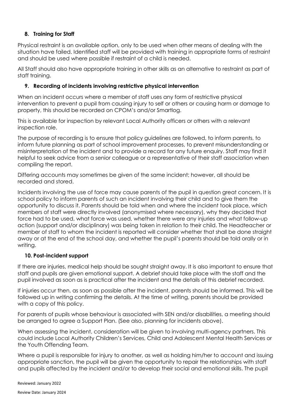# **8. Training for Staff**

Physical restraint is an available option, only to be used when other means of dealing with the situation have failed. Identified staff will be provided with training in appropriate forms of restraint and should be used where possible if restraint of a child is needed.

All Staff should also have appropriate training in other skills as an alternative to restraint as part of staff training.

### **9. Recording of incidents involving restrictive physical intervention**

When an incident occurs where a member of staff uses any form of restrictive physical intervention to prevent a pupil from causing injury to self or others or causing harm or damage to property, this should be recorded on CPOM's and/or Smartlog.

This is available for inspection by relevant Local Authority officers or others with a relevant inspection role.

The purpose of recording is to ensure that policy guidelines are followed, to inform parents, to inform future planning as part of school improvement processes, to prevent misunderstanding or misinterpretation of the incident and to provide a record for any future enquiry. Staff may find it helpful to seek advice from a senior colleague or a representative of their staff association when compiling the report.

Differing accounts may sometimes be given of the same incident; however, all should be recorded and stored.

Incidents involving the use of force may cause parents of the pupil in question great concern. It is school policy to inform parents of such an incident involving their child and to give them the opportunity to discuss it. Parents should be told when and where the incident took place, which members of staff were directly involved (anonymised where necessary), why they decided that force had to be used, what force was used, whether there were any injuries and what follow-up action (support and/or disciplinary) was being taken in relation to their child. The Headteacher or member of staff to whom the incident is reported will consider whether that shall be done straight away or at the end of the school day, and whether the pupil's parents should be told orally or in writing.

#### **10. Post-incident support**

If there are injuries, medical help should be sought straight away. It is also important to ensure that staff and pupils are given emotional support. A debrief should take place with the staff and the pupil involved as soon as is practical after the incident and the details of this debrief recorded.

If injuries occur then, as soon as possible after the incident, parents should be informed. This will be followed up in writing confirming the details. At the time of writing, parents should be provided with a copy of this policy.

For parents of pupils whose behaviour is associated with SEN and/or disabilities, a meeting should be arranged to agree a Support Plan. (See also, planning for incidents above).

When assessing the incident, consideration will be given to involving multi-agency partners. This could include Local Authority Children's Services, Child and Adolescent Mental Health Services or the Youth Offending Team.

Where a pupil is responsible for injury to another, as well as holding him/her to account and issuing appropriate sanction, the pupil will be given the opportunity to repair the relationships with staff and pupils affected by the incident and/or to develop their social and emotional skills. The pupil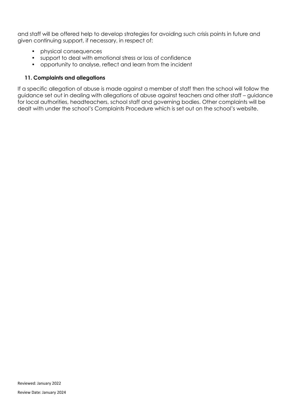and staff will be offered help to develop strategies for avoiding such crisis points in future and given continuing support, if necessary, in respect of:

- physical consequences
- support to deal with emotional stress or loss of confidence
- opportunity to analyse, reflect and learn from the incident

#### **11. Complaints and allegations**

If a specific allegation of abuse is made against a member of staff then the school will follow the guidance set out in dealing with allegations of abuse against teachers and other staff – guidance for local authorities, headteachers, school staff and governing bodies. Other complaints will be dealt with under the school's Complaints Procedure which is set out on the school's website.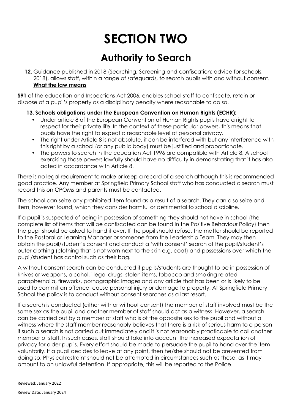# **SECTION TWO**

# **Authority to Search**

**12.** Guidance published in 2018 (Searching, Screening and confiscation: advice for schools, 2018), allows staff, within a range of safeguards, to search pupils with and without consent. **What the law means**

**S91** of the education and Inspections Act 2006, enables school staff to confiscate, retain or dispose of a pupil's property as a disciplinary penalty where reasonable to do so.

#### **13. Schools obligations under the European Convention on Human Rights (ECHR):**

- Under article 8 of the European Convention of Human Rights pupils have a right to respect for their private life. In the context of these particular powers, this means that pupils have the right to expect a reasonable level of personal privacy.
- The right under Article 8 is not absolute, it can be interfered with but any interference with this right by a school (or any public body) must be justified and proportionate.
- The powers to search in the education Act 1996 are compatible with Article 8. A school exercising those powers lawfully should have no difficulty in demonstrating that it has also acted in accordance with Article 8.

There is no legal requirement to make or keep a record of a search although this is recommended good practice. Any member at Springfield Primary School staff who has conducted a search must record this on CPOMs and parents must be contacted.

The school can seize any prohibited item found as a result of a search. They can also seize and item, however found, which they consider harmful or detrimental to school discipline.

If a pupil is suspected of being in possession of something they should not have in school (the complete list of items that will be confiscated can be found in the Positive Behaviour Policy) then the pupil should be asked to hand it over. If the pupil should refuse, the matter should be reported to the Pastoral or Learning Manager or someone from the Leadership Team. They may then obtain the pupil/student's consent and conduct a 'with consent' search of the pupil/student's outer clothing (clothing that is not worn next to the skin e.g. coat) and possessions over which the pupil/student has control such as their bag.

A without consent search can be conducted if pupils/students are thought to be in possession of knives or weapons, alcohol, illegal drugs, stolen items, tobacco and smoking related paraphernalia, fireworks, pornographic images and any article that has been or is likely to be used to commit an offence, cause personal injury or damage to property. At Springfield Primary School the policy is to conduct without consent searches as a last resort.

If a search is conducted (either with or without consent) the member of staff involved must be the same sex as the pupil and another member of staff should act as a witness. However, a search can be carried out by a member of staff who is of the opposite sex to the pupil and without a witness where the staff member reasonably believes that there is a risk of serious harm to a person if such a search is not carried out immediately and it is not reasonably practicable to call another member of staff. In such cases, staff should take into account the increased expectation of privacy for older pupils. Every effort should be made to persuade the pupil to hand over the item voluntarily. If a pupil decides to leave at any point, then he/she should not be prevented from doing so. Physical restraint should not be attempted in circumstances such as these, as it may amount to an unlawful detention. If appropriate, this will be reported to the Police.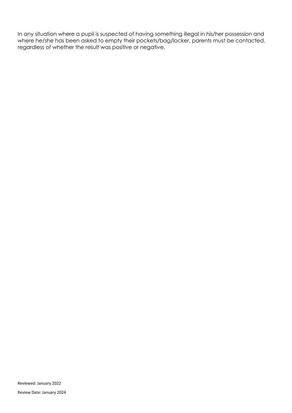In any situation where a pupil is suspected of having something illegal in his/her possession and where he/she has been asked to empty their pockets/bag/locker, parents must be contacted, regardless of whether the result was positive or negative.

Reviewed: January 2022

Review Date: January 2024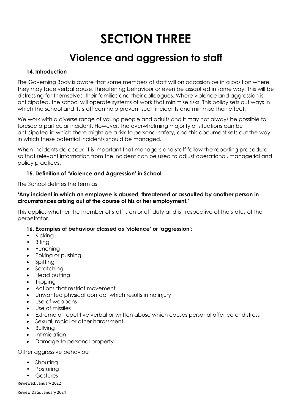# **SECTION THREE**

# **Violence and aggression to staff**

#### **14. Introduction**

The Governing Body is aware that some members of staff will on occasion be in a position where they may face verbal abuse, threatening behaviour or even be assaulted in some way. This will be distressing for themselves, their families and their colleagues. Where violence and aggression is anticipated, the school will operate systems of work that minimise risks. This policy sets out ways in which the school and its staff can help prevent such incidents and minimise their effect.

We work with a diverse range of young people and adults and it may not always be possible to foresee a particular incident. However, the overwhelming majority of situations can be anticipated in which there might be a risk to personal safety, and this document sets out the way in which these potential incidents should be managed.

When incidents do occur, it is important that managers and staff follow the reporting procedure so that relevant information from the incident can be used to adjust operational, managerial and policy practices.

#### **15. Definition of 'Violence and Aggression' in School**

The School defines the term as:

#### **'Any incident in which an employee is abused, threatened or assaulted by another person in circumstances arising out of the course of his or her employment.'**

This applies whether the member of staff is on or off duty and is irrespective of the status of the perpetrator.

# **16. Examples of behaviour classed as 'violence' or 'aggression':**

- Kicking
- Biting
- Punching
- Poking or pushing
- Spitting
- Scratching
- Head butting
- Tripping
- Actions that restrict movement
- Unwanted physical contact which results in no injury
- Use of weapons
- Use of missiles
- Extreme or repetitive verbal or written abuse which causes personal offence or distress
- Sexual, racial or other harassment
- Bullying
- Intimidation
- Damage to personal property

Other aggressive behaviour

- Shouting
- Posturing
- Gestures

Reviewed: January 2022

Review Date: January 2024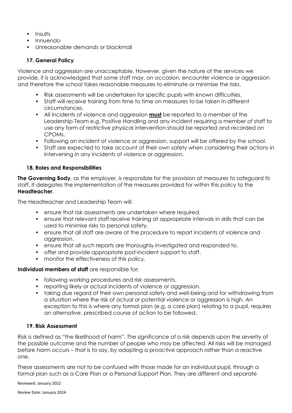- Insults
- Innuendo
- Unreasonable demands or blackmail

# **17. General Policy**

Violence and aggression are unacceptable. However, given the nature of the services we provide, it is acknowledged that some staff may, on occasion, encounter violence or aggression and therefore the school takes reasonable measures to eliminate or minimise the risks.

- Risk assessments will be undertaken for specific pupils with known difficulties.
- Staff will receive training from time to time on measures to be taken in different circumstances.
- All incidents of violence and aggression **must** be reported to a member of the Leadership Team e.g. Positive Handling and any incident requiring a member of staff to use any form of restrictive physical intervention should be reported and recorded on CPOMs.
- Following an incident of violence or aggression, support will be offered by the school.
- Staff are expected to take account of their own safety when considering their actions in intervening in any incidents of violence or aggression.

#### **18. Roles and Responsibilities**

**The Governing Body**, as the employer, is responsible for the provision of measures to safeguard its staff. It delegates the implementation of the measures provided for within this policy to the **Headteacher**.

The Headteacher and Leadership Team will:

- ensure that risk assessments are undertaken where required.
- ensure that relevant staff receive training at appropriate intervals in skills that can be used to minimise risks to personal safety.
- ensure that all staff are aware of the procedure to report incidents of violence and aggression.
- ensure that all such reports are thoroughly investigated and responded to.
- offer and provide appropriate post-incident support to staff.
- monitor the effectiveness of this policy.

#### **Individual members of staff** are responsible for:

- following working procedures and risk assessments.
- reporting likely or actual incidents of violence or aggression.
- taking due regard of their own personal safety and well-being and for withdrawing from a situation where the risk of actual or potential violence or aggression is high. An exception to this is where any formal plan (e.g. a care plan) relating to a pupil, requires an alternative, prescribed course of action to be followed.

#### **19. Risk Assessment**

Risk is defined as "the likelihood of harm". The significance of a risk depends upon the severity of the possible outcome and the number of people who may be affected. All risks will be managed before harm occurs – that is to say, by adopting a proactive approach rather than a reactive one.

These assessments are not to be confused with those made for an individual pupil, through a formal plan such as a Care Plan or a Personal Support Plan. They are different and separate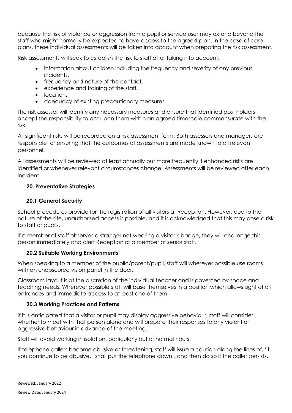because the risk of violence or aggression from a pupil or service user may extend beyond the staff who might normally be expected to have access to the agreed plan. In the case of care plans, these individual assessments will be taken into account when preparing the risk assessment.

Risk assessments will seek to establish the risk to staff after taking into account:

- information about children including the frequency and severity of any previous incidents.
- frequency and nature of the contact.
- experience and training of the staff.
- location.
- adequacy of existing precautionary measures.

The risk assessor will identify any necessary measures and ensure that identified post holders accept the responsibility to act upon them within an agreed timescale commensurate with the risk.

All significant risks will be recorded on a risk assessment form. Both assessors and managers are responsible for ensuring that the outcomes of assessments are made known to all relevant personnel.

All assessments will be reviewed at least annually but more frequently if enhanced risks are identified or whenever relevant circumstances change. Assessments will be reviewed after each incident.

#### **20. Preventative Strategies**

#### **20.1 General Security**

School procedures provide for the registration of all visitors at Reception. However, due to the nature of the site, unauthorised access is possible, and it is acknowledged that this may pose a risk to staff or pupils.

If a member of staff observes a stranger not wearing a visitor's badge, they will challenge this person immediately and alert Reception or a member of senior staff.

#### **20.2 Suitable Working Environments**

When speaking to a member of the public/parent/pupil, staff will wherever possible use rooms with an unobscured vision panel in the door.

Classroom layout is at the discretion of the individual teacher and is governed by space and teaching needs. Wherever possible staff will base themselves in a position which allows sight of all entrances and immediate access to at least one of them.

#### **20.3 Working Practices and Patterns**

If it is anticipated that a visitor or pupil may display aggressive behaviour, staff will consider whether to meet with that person alone and will prepare their responses to any violent or aggressive behaviour in advance of the meeting.

Staff will avoid working in isolation, particularly out of normal hours.

If telephone callers become abusive or threatening, staff will issue a caution along the lines of, 'if you continue to be abusive, I shall put the telephone down', and then do so if the caller persists.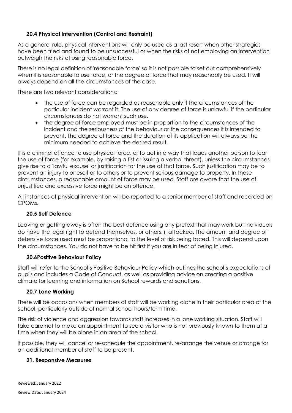### **20.4 Physical Intervention (Control and Restraint)**

As a general rule, physical interventions will only be used as a last resort when other strategies have been tried and found to be unsuccessful or when the risks of not employing an intervention outweigh the risks of using reasonable force.

There is no legal definition of 'reasonable force' so it is not possible to set out comprehensively when it is reasonable to use force, or the degree of force that may reasonably be used. It will always depend on all the circumstances of the case.

There are two relevant considerations:

- the use of force can be regarded as reasonable only if the circumstances of the particular incident warrant it. The use of any degree of force is unlawful if the particular circumstances do not warrant such use.
- the degree of force employed must be in proportion to the circumstances of the incident and the seriousness of the behaviour or the consequences it is intended to prevent. The degree of force and the duration of its application will always be the minimum needed to achieve the desired result.

It is a criminal offence to use physical force, or to act in a way that leads another person to fear the use of force (for example, by raising a fist or issuing a verbal threat), unless the circumstances give rise to a 'lawful excuse' or justification for the use of that force. Such justification may be to prevent an injury to oneself or to others or to prevent serious damage to property. In these circumstances, a reasonable amount of force may be used. Staff are aware that the use of unjustified and excessive force might be an offence.

All instances of physical intervention will be reported to a senior member of staff and recorded on CPOMs.

#### **20.5 Self Defence**

Leaving or getting away is often the best defence using any pretext that may work but individuals do have the legal right to defend themselves, or others, if attacked. The amount and degree of defensive force used must be proportional to the level of risk being faced. This will depend upon the circumstances. You do not have to be hit first if you are in fear of being injured.

#### **20.6Positive Behaviour Policy**

Staff will refer to the School's Positive Behaviour Policy which outlines the school's expectations of pupils and includes a Code of Conduct, as well as providing advice on creating a positive climate for learning and information on School rewards and sanctions.

#### **20.7 Lone Working**

There will be occasions when members of staff will be working alone in their particular area of the School, particularly outside of normal school hours/term time.

The risk of violence and aggression towards staff increases in a lone working situation. Staff will take care not to make an appointment to see a visitor who is not previously known to them at a time when they will be alone in an area of the school.

If possible, they will cancel or re-schedule the appointment, re-arrange the venue or arrange for an additional member of staff to be present.

#### **21. Responsive Measures**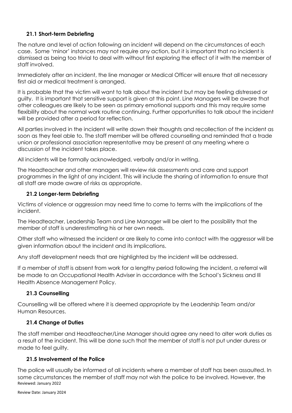# **21.1 Short-term Debriefing**

The nature and level of action following an incident will depend on the circumstances of each case. Some 'minor' instances may not require any action, but it is important that no incident is dismissed as being too trivial to deal with without first exploring the effect of it with the member of staff involved.

Immediately after an incident, the line manager or Medical Officer will ensure that all necessary first aid or medical treatment is arranged.

It is probable that the victim will want to talk about the incident but may be feeling distressed or guilty. It is important that sensitive support is given at this point. Line Managers will be aware that other colleagues are likely to be seen as primary emotional supports and this may require some flexibility about the normal work routine continuing. Further opportunities to talk about the incident will be provided after a period for reflection.

All parties involved in the incident will write down their thoughts and recollection of the incident as soon as they feel able to. The staff member will be offered counselling and reminded that a trade union or professional association representative may be present at any meeting where a discussion of the incident takes place.

All incidents will be formally acknowledged, verbally and/or in writing.

The Headteacher and other managers will review risk assessments and care and support programmes in the light of any incident. This will include the sharing of information to ensure that all staff are made aware of risks as appropriate.

# **21.2 Longer-term Debriefing**

Victims of violence or aggression may need time to come to terms with the implications of the incident.

The Headteacher, Leadership Team and Line Manager will be alert to the possibility that the member of staff is underestimating his or her own needs.

Other staff who witnessed the incident or are likely to come into contact with the aggressor will be given information about the incident and its implications.

Any staff development needs that are highlighted by the incident will be addressed.

If a member of staff is absent from work for a lengthy period following the incident, a referral will be made to an Occupational Health Adviser in accordance with the School's Sickness and Ill Health Absence Management Policy.

# **21.3 Counselling**

Counselling will be offered where it is deemed appropriate by the Leadership Team and/or Human Resources.

# **21.4 Change of Duties**

The staff member and Headteacher/Line Manager should agree any need to alter work duties as a result of the incident. This will be done such that the member of staff is not put under duress or made to feel guilty.

# **21.5 Involvement of the Police**

Reviewed: January 2022 The police will usually be informed of all incidents where a member of staff has been assaulted. In some circumstances the member of staff may not wish the police to be involved. However, the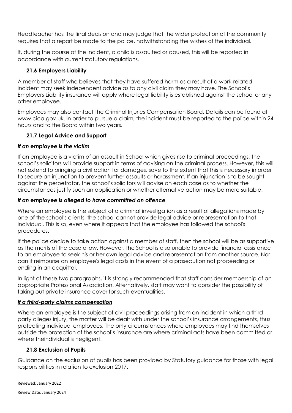Headteacher has the final decision and may judge that the wider protection of the community requires that a report be made to the police, notwithstanding the wishes of the individual.

If, during the course of the incident, a child is assaulted or abused, this will be reported in accordance with current statutory regulations.

# **21.6 Employers Liability**

A member of staff who believes that they have suffered harm as a result of a work-related incident may seek independent advice as to any civil claim they may have. The School's Employers Liability insurance will apply where legal liability is established against the school or any other employee.

Employees may also contact the Criminal Injuries Compensation Board. Details can be found at www.cica.gov.uk. In order to pursue a claim, the incident must be reported to the police within 24 hours and to the Board within two years.

# **21.7 Legal Advice and Support**

# *If an employee is the victim*

If an employee is a victim of an assault in School which gives rise to criminal proceedings, the school's solicitors will provide support in terms of advising on the criminal process. However, this will not extend to bringing a civil action for damages, save to the extent that this is necessary in order to secure an injunction to prevent further assaults or harassment. If an injunction is to be sought against the perpetrator, the school's solicitors will advise on each case as to whether the circumstances justify such an application or whether alternative action may be more suitable.

# *If an employee is alleged to have committed an offence*

Where an employee is the subject of a criminal investigation as a result of allegations made by one of the school's clients, the school cannot provide legal advice or representation to that individual. This is so, even where it appears that the employee has followed the school's procedures.

If the police decide to take action against a member of staff, then the school will be as supportive as the merits of the case allow. However, the School is also unable to provide financial assistance to an employee to seek his or her own legal advice and representation from another source. Nor can it reimburse an employee's legal costs in the event of a prosecution not proceeding or ending in an acquittal.

In light of these two paragraphs, it is strongly recommended that staff consider membership of an appropriate Professional Association. Alternatively, staff may want to consider the possibility of taking out private insurance cover for such eventualities.

# *If a third-party claims compensation*

Where an employee is the subject of civil proceedings arising from an incident in which a third party alleges injury, the matter will be dealt with under the school's insurance arrangements, thus protecting individual employees. The only circumstances where employees may find themselves outside the protection of the school's insurance are where criminal acts have been committed or where theindividual is negligent.

# **21.8 Exclusion of Pupils**

Guidance on the exclusion of pupils has been provided by Statutory guidance for those with legal responsibilities in relation to exclusion 2017.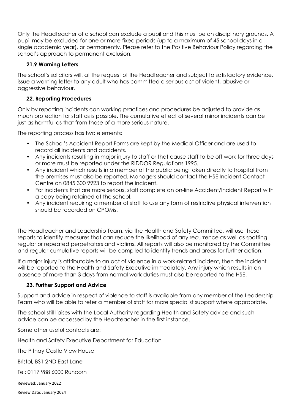Only the Headteacher of a school can exclude a pupil and this must be on disciplinary grounds. A pupil may be excluded for one or more fixed periods (up to a maximum of 45 school days in a single academic year), or permanently. Please refer to the Positive Behaviour Policy regarding the school's approach to permanent exclusion.

# **21.9 Warning Letters**

The school's solicitors will, at the request of the Headteacher and subject to satisfactory evidence, issue a warning letter to any adult who has committed a serious act of violent, abusive or aggressive behaviour.

# **22. Reporting Procedures**

Only by reporting incidents can working practices and procedures be adjusted to provide as much protection for staff as is possible. The cumulative effect of several minor incidents can be just as harmful as that from those of a more serious nature.

The reporting process has two elements:

- The School's Accident Report Forms are kept by the Medical Officer and are used to record all incidents and accidents.
- Any incidents resulting in major injury to staff or that cause staff to be off work for three days or more must be reported under the RIDDOR Regulations 1995.
- Any incident which results in a member of the public being taken directly to hospital from the premises must also be reported. Managers should contact the HSE Incident Contact Centre on 0845 300 9923 to report the incident.
- For incidents that are more serious, staff complete an on-line Accident/Incident Report with a copy being retained at the school.
- Any incident requiring a member of staff to use any form of restrictive physical intervention should be recorded on CPOMs.

The Headteacher and Leadership Team, via the Health and Safety Committee, will use these reports to identify measures that can reduce the likelihood of any recurrence as well as spotting regular or repeated perpetrators and victims. All reports will also be monitored by the Committee and regular cumulative reports will be compiled to identify trends and areas for further action.

If a major injury is attributable to an act of violence in a work-related incident, then the incident will be reported to the Health and Safety Executive immediately. Any injury which results in an absence of more than 3 days from normal work duties must also be reported to the HSE.

# **23. Further Support and Advice**

Support and advice in respect of violence to staff is available from any member of the Leadership Team who will be able to refer a member of staff for more specialist support where appropriate.

The school still liaises with the Local Authority regarding Health and Safety advice and such advice can be accessed by the Headteacher in the first instance.

Some other useful contacts are:

Health and Safety Executive Department for Education

The Pithay Castle View House

Bristol, BS1 2ND East Lane

Tel: 0117 988 6000 Runcorn

Reviewed: January 2022

Review Date: January 2024